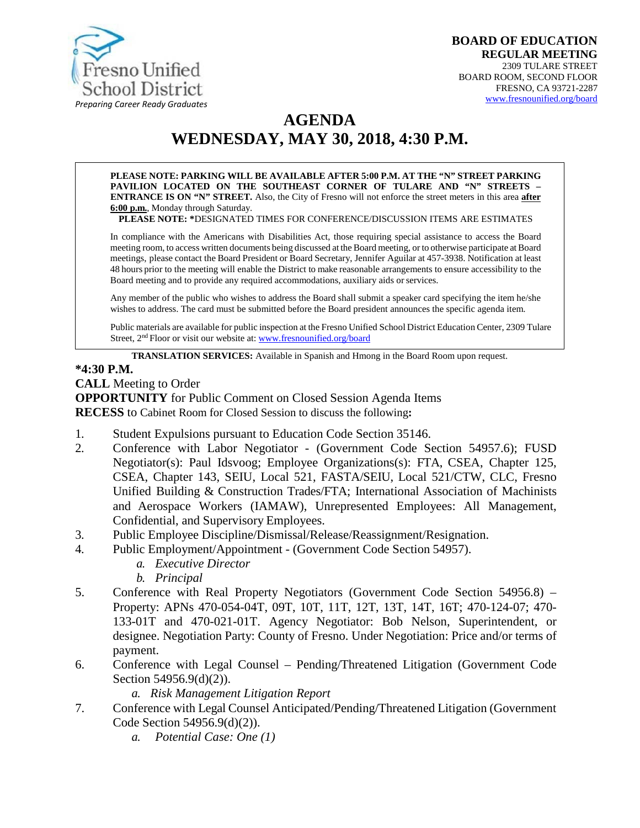

# **AGENDA WEDNESDAY, MAY 30, 2018, 4:30 P.M.**

**PLEASE NOTE: PARKING WILL BE AVAILABLE AFTER 5:00 P.M. AT THE "N" STREET PARKING PAVILION LOCATED ON THE SOUTHEAST CORNER OF TULARE AND "N" STREETS – ENTRANCE IS ON "N" STREET.** Also, the City of Fresno will not enforce the street meters in this area **after 6:00 p.m.**, Monday through Saturday.

**PLEASE NOTE: \***DESIGNATED TIMES FOR CONFERENCE/DISCUSSION ITEMS ARE ESTIMATES

In compliance with the Americans with Disabilities Act, those requiring special assistance to access the Board meeting room, to access written documents being discussed at the Board meeting, or to otherwise participate at Board meetings, please contact the Board President or Board Secretary, Jennifer Aguilar at 457-3938. Notification at least 48 hours prior to the meeting will enable the District to make reasonable arrangements to ensure accessibility to the Board meeting and to provide any required accommodations, auxiliary aids orservices.

Any member of the public who wishes to address the Board shall submit a speaker card specifying the item he/she wishes to address. The card must be submitted before the Board president announces the specific agenda item.

Public materials are available for public inspection at the Fresno Unified School District Education Center, 2309 Tulare Street, 2<sup>nd</sup> Floor or visit our website at: **[www.fresnounified.org/board](http://www.fresnounified.org/board)** 

**TRANSLATION SERVICES:** Available in Spanish and Hmong in the Board Room upon request.

#### **\*4:30 P.M.**

**CALL** Meeting to Order **OPPORTUNITY** for Public Comment on Closed Session Agenda Items **RECESS** to Cabinet Room for Closed Session to discuss the following**:**

- 1. Student Expulsions pursuant to Education Code Section 35146.
- 2. Conference with Labor Negotiator (Government Code Section 54957.6); FUSD Negotiator(s): Paul Idsvoog; Employee Organizations(s): FTA, CSEA, Chapter 125, CSEA, Chapter 143, SEIU, Local 521, FASTA/SEIU, Local 521/CTW, CLC, Fresno Unified Building & Construction Trades/FTA; International Association of Machinists and Aerospace Workers (IAMAW), Unrepresented Employees: All Management, Confidential, and Supervisory Employees.
- 3. Public Employee Discipline/Dismissal/Release/Reassignment/Resignation.
- 4. Public Employment/Appointment (Government Code Section 54957).
	- *a. Executive Director*
	- *b. Principal*
- 5. Conference with Real Property Negotiators (Government Code Section 54956.8) Property: APNs 470-054-04T, 09T, 10T, 11T, 12T, 13T, 14T, 16T; 470-124-07; 470- 133-01T and 470-021-01T. Agency Negotiator: Bob Nelson, Superintendent, or designee. Negotiation Party: County of Fresno. Under Negotiation: Price and/or terms of payment.
- 6. Conference with Legal Counsel Pending/Threatened Litigation (Government Code Section 54956.9(d)(2)).
	- *a. Risk Management Litigation Report*
- 7. Conference with Legal Counsel Anticipated/Pending/Threatened Litigation (Government Code Section 54956.9(d)(2)).
	- *a. Potential Case: One (1)*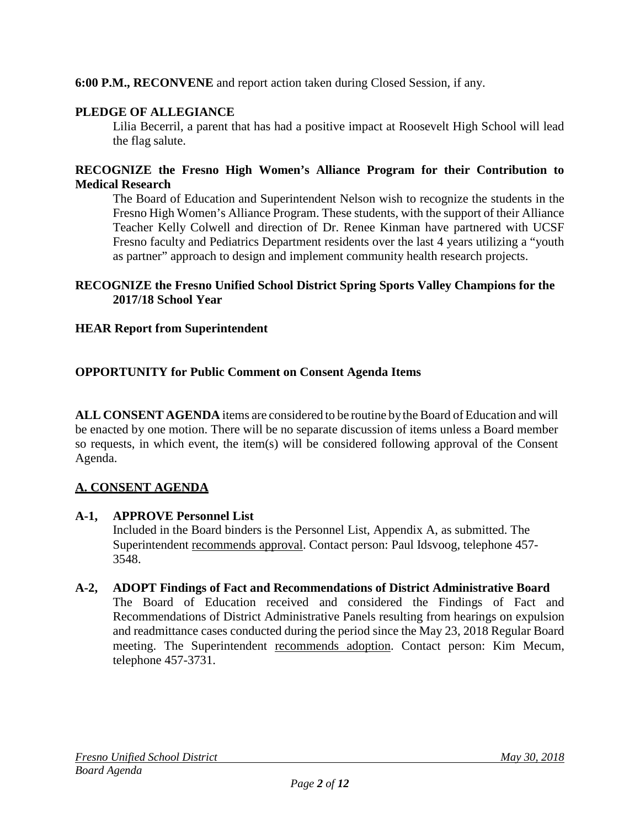## **6:00 P.M., RECONVENE** and report action taken during Closed Session, if any.

## **PLEDGE OF ALLEGIANCE**

Lilia Becerril, a parent that has had a positive impact at Roosevelt High School will lead the flag salute.

#### **RECOGNIZE the Fresno High Women's Alliance Program for their Contribution to Medical Research**

The Board of Education and Superintendent Nelson wish to recognize the students in the Fresno High Women's Alliance Program. These students, with the support of their Alliance Teacher Kelly Colwell and direction of Dr. Renee Kinman have partnered with UCSF Fresno faculty and Pediatrics Department residents over the last 4 years utilizing a "youth as partner" approach to design and implement community health research projects.

## **RECOGNIZE the Fresno Unified School District Spring Sports Valley Champions for the 2017/18 School Year**

## **HEAR Report from Superintendent**

## **OPPORTUNITY for Public Comment on Consent Agenda Items**

**ALL CONSENT AGENDA** items are considered to be routine bythe Board of Education and will be enacted by one motion. There will be no separate discussion of items unless a Board member so requests, in which event, the item(s) will be considered following approval of the Consent Agenda.

## **A. CONSENT AGENDA**

#### **A-1, APPROVE Personnel List**

Included in the Board binders is the Personnel List, Appendix A, as submitted. The Superintendent recommends approval. Contact person: Paul Idsvoog, telephone 457- 3548.

#### **A-2, ADOPT Findings of Fact and Recommendations of District Administrative Board**

The Board of Education received and considered the Findings of Fact and Recommendations of District Administrative Panels resulting from hearings on expulsion and readmittance cases conducted during the period since the May 23, 2018 Regular Board meeting. The Superintendent recommends adoption. Contact person: Kim Mecum, telephone 457-3731.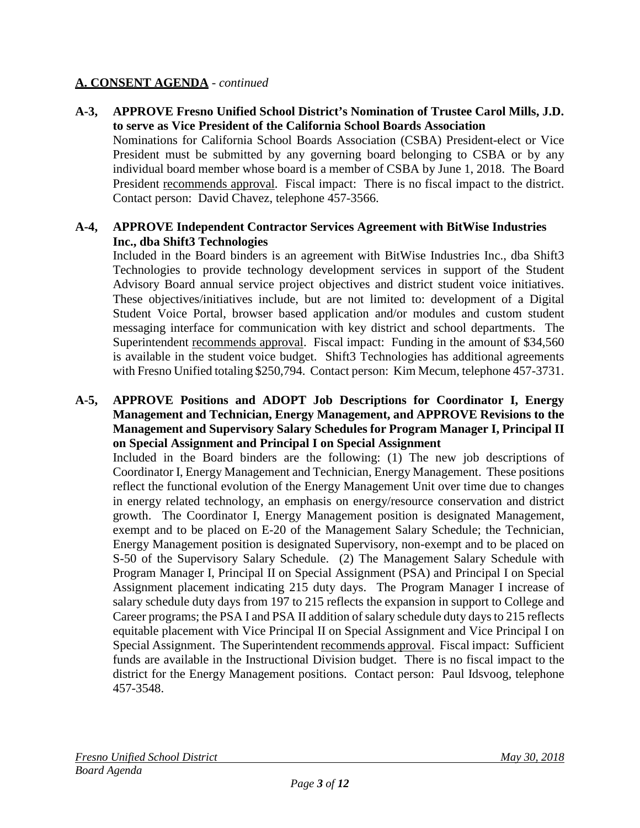### **A-3, APPROVE Fresno Unified School District's Nomination of Trustee Carol Mills, J.D. to serve as Vice President of the California School Boards Association**

Nominations for California School Boards Association (CSBA) President-elect or Vice President must be submitted by any governing board belonging to CSBA or by any individual board member whose board is a member of CSBA by June 1, 2018. The Board President recommends approval. Fiscal impact: There is no fiscal impact to the district. Contact person: David Chavez, telephone 457-3566.

### **A-4, APPROVE Independent Contractor Services Agreement with BitWise Industries Inc., dba Shift3 Technologies**

Included in the Board binders is an agreement with BitWise Industries Inc., dba Shift3 Technologies to provide technology development services in support of the Student Advisory Board annual service project objectives and district student voice initiatives. These objectives/initiatives include, but are not limited to: development of a Digital Student Voice Portal, browser based application and/or modules and custom student messaging interface for communication with key district and school departments. The Superintendent recommends approval. Fiscal impact: Funding in the amount of \$34,560 is available in the student voice budget. Shift3 Technologies has additional agreements with Fresno Unified totaling \$250,794. Contact person: Kim Mecum, telephone 457-3731.

#### **A-5, APPROVE Positions and ADOPT Job Descriptions for Coordinator I, Energy Management and Technician, Energy Management, and APPROVE Revisions to the Management and Supervisory Salary Schedules for Program Manager I, Principal II on Special Assignment and Principal I on Special Assignment**

Included in the Board binders are the following: (1) The new job descriptions of Coordinator I, Energy Management and Technician, Energy Management. These positions reflect the functional evolution of the Energy Management Unit over time due to changes in energy related technology, an emphasis on energy/resource conservation and district growth. The Coordinator I, Energy Management position is designated Management, exempt and to be placed on E-20 of the Management Salary Schedule; the Technician, Energy Management position is designated Supervisory, non-exempt and to be placed on S-50 of the Supervisory Salary Schedule. (2) The Management Salary Schedule with Program Manager I, Principal II on Special Assignment (PSA) and Principal I on Special Assignment placement indicating 215 duty days. The Program Manager I increase of salary schedule duty days from 197 to 215 reflects the expansion in support to College and Career programs; the PSA I and PSA II addition of salary schedule duty days to 215 reflects equitable placement with Vice Principal II on Special Assignment and Vice Principal I on Special Assignment. The Superintendent recommends approval. Fiscal impact: Sufficient funds are available in the Instructional Division budget. There is no fiscal impact to the district for the Energy Management positions. Contact person: Paul Idsvoog, telephone 457-3548.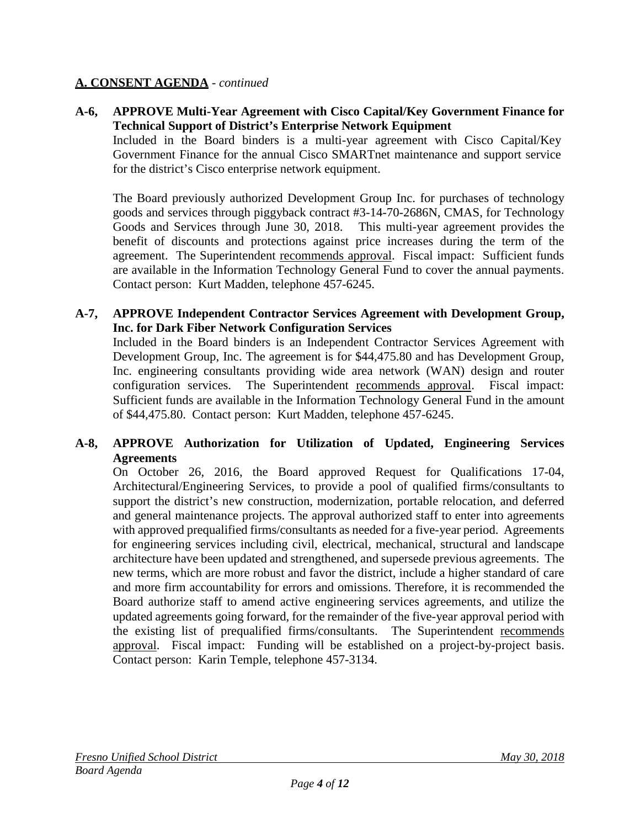**A-6, APPROVE Multi-Year Agreement with Cisco Capital/Key Government Finance for Technical Support of District's Enterprise Network Equipment**

Included in the Board binders is a multi-year agreement with Cisco Capital/Key Government Finance for the annual Cisco SMARTnet maintenance and support service for the district's Cisco enterprise network equipment.

The Board previously authorized Development Group Inc. for purchases of technology goods and services through piggyback contract #3-14-70-2686N, CMAS, for Technology Goods and Services through June 30, 2018. This multi-year agreement provides the benefit of discounts and protections against price increases during the term of the agreement. The Superintendent recommends approval. Fiscal impact: Sufficient funds are available in the Information Technology General Fund to cover the annual payments. Contact person: Kurt Madden, telephone 457-6245.

### **A-7, APPROVE Independent Contractor Services Agreement with Development Group, Inc. for Dark Fiber Network Configuration Services**

Included in the Board binders is an Independent Contractor Services Agreement with Development Group, Inc. The agreement is for \$44,475.80 and has Development Group, Inc. engineering consultants providing wide area network (WAN) design and router configuration services. The Superintendent recommends approval. Fiscal impact: Sufficient funds are available in the Information Technology General Fund in the amount of \$44,475.80. Contact person: Kurt Madden, telephone 457-6245.

## **A-8, APPROVE Authorization for Utilization of Updated, Engineering Services Agreements**

On October 26, 2016, the Board approved Request for Qualifications 17-04, Architectural/Engineering Services, to provide a pool of qualified firms/consultants to support the district's new construction, modernization, portable relocation, and deferred and general maintenance projects. The approval authorized staff to enter into agreements with approved prequalified firms/consultants as needed for a five-year period. Agreements for engineering services including civil, electrical, mechanical, structural and landscape architecture have been updated and strengthened, and supersede previous agreements. The new terms, which are more robust and favor the district, include a higher standard of care and more firm accountability for errors and omissions. Therefore, it is recommended the Board authorize staff to amend active engineering services agreements, and utilize the updated agreements going forward, for the remainder of the five-year approval period with the existing list of prequalified firms/consultants. The Superintendent recommends approval. Fiscal impact: Funding will be established on a project-by-project basis. Contact person: Karin Temple, telephone 457-3134.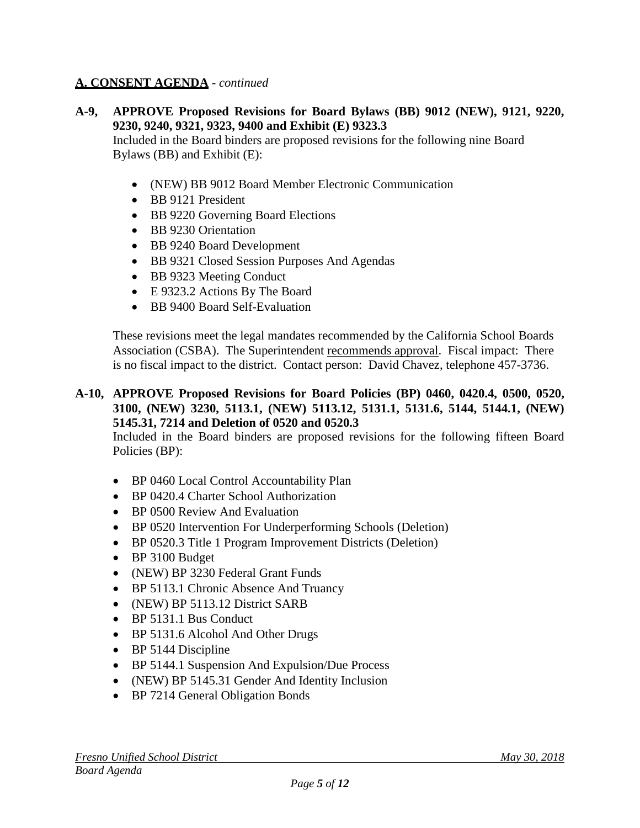**A-9, APPROVE Proposed Revisions for Board Bylaws (BB) 9012 (NEW), 9121, 9220, 9230, 9240, 9321, 9323, 9400 and Exhibit (E) 9323.3**

Included in the Board binders are proposed revisions for the following nine Board Bylaws (BB) and Exhibit (E):

- (NEW) BB 9012 Board Member Electronic Communication
- BB 9121 President
- BB 9220 Governing Board Elections
- BB 9230 Orientation
- BB 9240 Board Development
- BB 9321 Closed Session Purposes And Agendas
- BB 9323 Meeting Conduct
- E 9323.2 Actions By The Board
- BB 9400 Board Self-Evaluation

These revisions meet the legal mandates recommended by the California School Boards Association (CSBA). The Superintendent recommends approval. Fiscal impact: There is no fiscal impact to the district. Contact person: David Chavez, telephone 457-3736.

**A-10, APPROVE Proposed Revisions for Board Policies (BP) 0460, 0420.4, 0500, 0520, 3100, (NEW) 3230, 5113.1, (NEW) 5113.12, 5131.1, 5131.6, 5144, 5144.1, (NEW) 5145.31, 7214 and Deletion of 0520 and 0520.3** 

Included in the Board binders are proposed revisions for the following fifteen Board Policies (BP):

- BP 0460 Local Control Accountability Plan
- BP 0420.4 Charter School Authorization
- BP 0500 Review And Evaluation
- BP 0520 Intervention For Underperforming Schools (Deletion)
- BP 0520.3 Title 1 Program Improvement Districts (Deletion)
- BP 3100 Budget
- (NEW) BP 3230 Federal Grant Funds
- BP 5113.1 Chronic Absence And Truancy
- (NEW) BP 5113.12 District SARB
- BP 5131.1 Bus Conduct
- BP 5131.6 Alcohol And Other Drugs
- BP 5144 Discipline
- BP 5144.1 Suspension And Expulsion/Due Process
- (NEW) BP 5145.31 Gender And Identity Inclusion
- BP 7214 General Obligation Bonds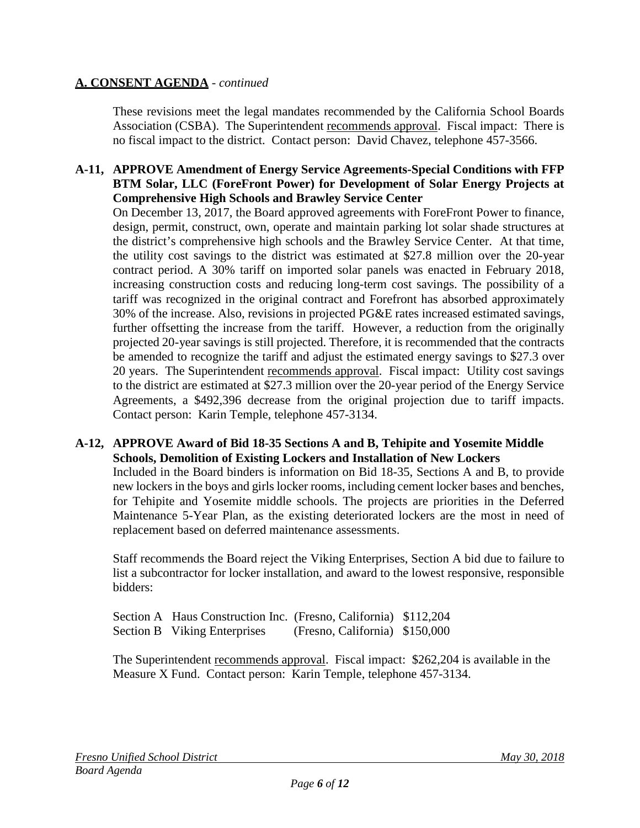These revisions meet the legal mandates recommended by the California School Boards Association (CSBA). The Superintendent recommends approval. Fiscal impact: There is no fiscal impact to the district. Contact person: David Chavez, telephone 457-3566.

#### **A-11, APPROVE Amendment of Energy Service Agreements-Special Conditions with FFP BTM Solar, LLC (ForeFront Power) for Development of Solar Energy Projects at Comprehensive High Schools and Brawley Service Center**

On December 13, 2017, the Board approved agreements with ForeFront Power to finance, design, permit, construct, own, operate and maintain parking lot solar shade structures at the district's comprehensive high schools and the Brawley Service Center. At that time, the utility cost savings to the district was estimated at \$27.8 million over the 20-year contract period. A 30% tariff on imported solar panels was enacted in February 2018, increasing construction costs and reducing long-term cost savings. The possibility of a tariff was recognized in the original contract and Forefront has absorbed approximately 30% of the increase. Also, revisions in projected PG&E rates increased estimated savings, further offsetting the increase from the tariff. However, a reduction from the originally projected 20-year savings is still projected. Therefore, it is recommended that the contracts be amended to recognize the tariff and adjust the estimated energy savings to \$27.3 over 20 years. The Superintendent recommends approval. Fiscal impact: Utility cost savings to the district are estimated at \$27.3 million over the 20-year period of the Energy Service Agreements, a \$492,396 decrease from the original projection due to tariff impacts. Contact person: Karin Temple, telephone 457-3134.

#### **A-12, APPROVE Award of Bid 18-35 Sections A and B, Tehipite and Yosemite Middle Schools, Demolition of Existing Lockers and Installation of New Lockers**

Included in the Board binders is information on Bid 18-35, Sections A and B, to provide new lockers in the boys and girls locker rooms, including cement locker bases and benches, for Tehipite and Yosemite middle schools. The projects are priorities in the Deferred Maintenance 5-Year Plan, as the existing deteriorated lockers are the most in need of replacement based on deferred maintenance assessments.

Staff recommends the Board reject the Viking Enterprises, Section A bid due to failure to list a subcontractor for locker installation, and award to the lowest responsive, responsible bidders:

| Section A Haus Construction Inc. (Fresno, California) \$112,204 |                                |  |
|-----------------------------------------------------------------|--------------------------------|--|
| <b>Section B</b> Viking Enterprises                             | (Fresno, California) \$150,000 |  |

The Superintendent recommends approval. Fiscal impact:\$262,204 is available in the Measure X Fund. Contact person: Karin Temple, telephone 457-3134.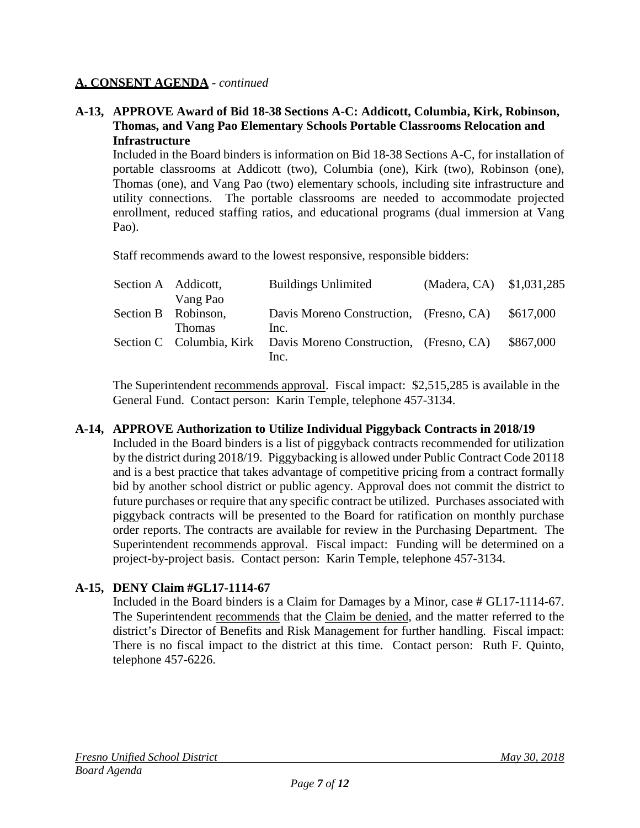#### **A-13, APPROVE Award of Bid 18-38 Sections A-C: Addicott, Columbia, Kirk, Robinson, Thomas, and Vang Pao Elementary Schools Portable Classrooms Relocation and Infrastructure**

Included in the Board binders is information on Bid 18-38 Sections A-C, for installation of portable classrooms at Addicott (two), Columbia (one), Kirk (two), Robinson (one), Thomas (one), and Vang Pao (two) elementary schools, including site infrastructure and utility connections. The portable classrooms are needed to accommodate projected enrollment, reduced staffing ratios, and educational programs (dual immersion at Vang Pao).

Staff recommends award to the lowest responsive, responsible bidders:

| Section A Addicott, |                                 | <b>Buildings Unlimited</b>                                               | (Madera, CA) \$1,031,285 |           |
|---------------------|---------------------------------|--------------------------------------------------------------------------|--------------------------|-----------|
|                     | Vang Pao<br>Section B Robinson, | Davis Moreno Construction, (Fresno, CA)                                  |                          | \$617,000 |
|                     | <b>Thomas</b>                   | Inc.<br>Section C Columbia, Kirk Davis Moreno Construction, (Fresno, CA) |                          | \$867,000 |
|                     |                                 | Inc.                                                                     |                          |           |

The Superintendent recommends approval. Fiscal impact:\$2,515,285 is available in the General Fund. Contact person: Karin Temple, telephone 457-3134.

## **A-14, APPROVE Authorization to Utilize Individual Piggyback Contracts in 2018/19**

Included in the Board binders is a list of piggyback contracts recommended for utilization by the district during 2018/19. Piggybacking is allowed under Public Contract Code 20118 and is a best practice that takes advantage of competitive pricing from a contract formally bid by another school district or public agency. Approval does not commit the district to future purchases or require that any specific contract be utilized. Purchases associated with piggyback contracts will be presented to the Board for ratification on monthly purchase order reports. The contracts are available for review in the Purchasing Department. The Superintendent recommends approval. Fiscal impact: Funding will be determined on a project-by-project basis. Contact person: Karin Temple, telephone 457-3134.

## **A-15, DENY Claim #GL17-1114-67**

Included in the Board binders is a Claim for Damages by a Minor, case # GL17-1114-67. The Superintendent recommends that the Claim be denied, and the matter referred to the district's Director of Benefits and Risk Management for further handling. Fiscal impact: There is no fiscal impact to the district at this time. Contact person: Ruth F. Quinto, telephone 457-6226.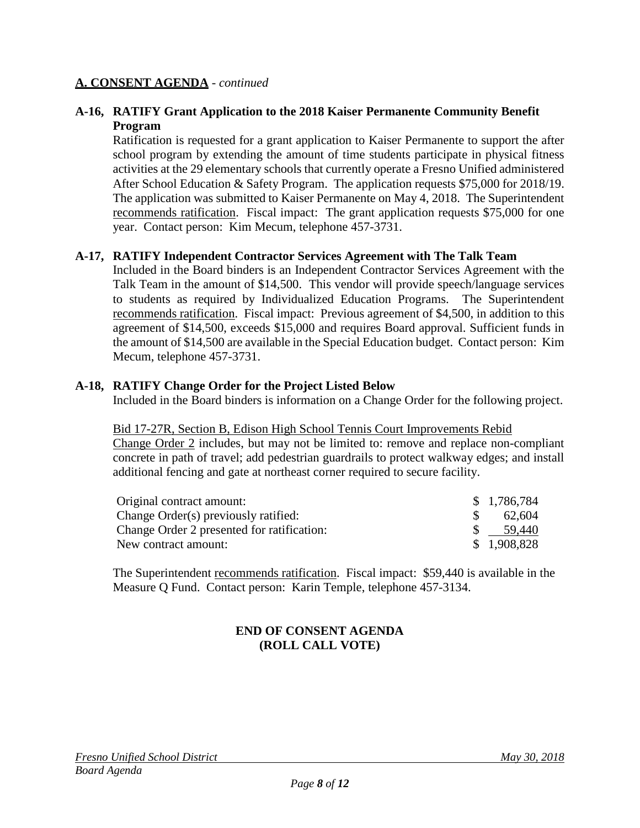#### **A-16, RATIFY Grant Application to the 2018 Kaiser Permanente Community Benefit Program**

Ratification is requested for a grant application to Kaiser Permanente to support the after school program by extending the amount of time students participate in physical fitness activities at the 29 elementary schools that currently operate a Fresno Unified administered After School Education & Safety Program. The application requests \$75,000 for 2018/19. The application was submitted to Kaiser Permanente on May 4, 2018. The Superintendent recommends ratification. Fiscal impact: The grant application requests \$75,000 for one year. Contact person: Kim Mecum, telephone 457-3731.

## **A-17, RATIFY Independent Contractor Services Agreement with The Talk Team**

Included in the Board binders is an Independent Contractor Services Agreement with the Talk Team in the amount of \$14,500. This vendor will provide speech/language services to students as required by Individualized Education Programs. The Superintendent recommends ratification. Fiscal impact: Previous agreement of \$4,500, in addition to this agreement of \$14,500, exceeds \$15,000 and requires Board approval. Sufficient funds in the amount of \$14,500 are available in the Special Education budget. Contact person: Kim Mecum, telephone 457-3731.

#### **A-18, RATIFY Change Order for the Project Listed Below**

Included in the Board binders is information on a Change Order for the following project.

#### Bid 17-27R, Section B, Edison High School Tennis Court Improvements Rebid

Change Order 2 includes, but may not be limited to: remove and replace non-compliant concrete in path of travel; add pedestrian guardrails to protect walkway edges; and install additional fencing and gate at northeast corner required to secure facility.

| Original contract amount:                  | \$1,786,784 |
|--------------------------------------------|-------------|
| Change Order(s) previously ratified:       | 62,604      |
| Change Order 2 presented for ratification: | 59.440      |
| New contract amount:                       | \$1,908,828 |

The Superintendent recommends ratification. Fiscal impact:\$59,440 is available in the Measure Q Fund. Contact person: Karin Temple, telephone 457-3134.

## **END OF CONSENT AGENDA (ROLL CALL VOTE)**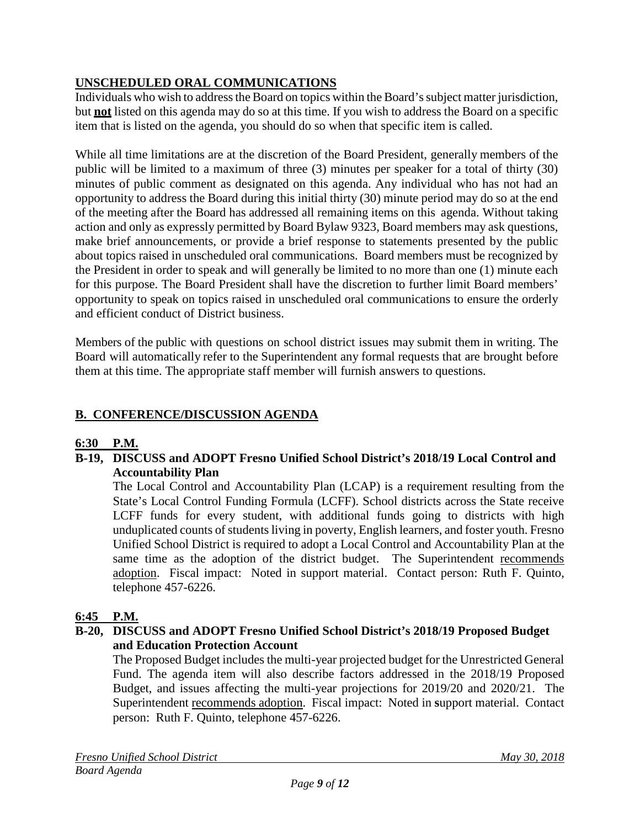## **UNSCHEDULED ORAL COMMUNICATIONS**

Individuals who wish to address the Board on topics within the Board's subject matter jurisdiction, but **not** listed on this agenda may do so at this time. If you wish to address the Board on a specific item that is listed on the agenda, you should do so when that specific item is called.

While all time limitations are at the discretion of the Board President, generally members of the public will be limited to a maximum of three (3) minutes per speaker for a total of thirty (30) minutes of public comment as designated on this agenda. Any individual who has not had an opportunity to address the Board during this initial thirty (30) minute period may do so at the end of the meeting after the Board has addressed all remaining items on this agenda. Without taking action and only as expressly permitted by Board Bylaw 9323, Board members may ask questions, make brief announcements, or provide a brief response to statements presented by the public about topics raised in unscheduled oral communications. Board members must be recognized by the President in order to speak and will generally be limited to no more than one (1) minute each for this purpose. The Board President shall have the discretion to further limit Board members' opportunity to speak on topics raised in unscheduled oral communications to ensure the orderly and efficient conduct of District business.

Members of the public with questions on school district issues may submit them in writing. The Board will automatically refer to the Superintendent any formal requests that are brought before them at this time. The appropriate staff member will furnish answers to questions.

## **B. CONFERENCE/DISCUSSION AGENDA**

## **6:30 P.M.**

## **B-19, DISCUSS and ADOPT Fresno Unified School District's 2018/19 Local Control and Accountability Plan**

The Local Control and Accountability Plan (LCAP) is a requirement resulting from the State's Local Control Funding Formula (LCFF). School districts across the State receive LCFF funds for every student, with additional funds going to districts with high unduplicated counts of students living in poverty, English learners, and foster youth. Fresno Unified School District is required to adopt a Local Control and Accountability Plan at the same time as the adoption of the district budget. The Superintendent recommends adoption. Fiscal impact: Noted in support material. Contact person: Ruth F. Quinto, telephone 457-6226.

## **6:45 P.M.**

## **B-20, DISCUSS and ADOPT Fresno Unified School District's 2018/19 Proposed Budget and Education Protection Account**

The Proposed Budget includes the multi-year projected budget for the Unrestricted General Fund. The agenda item will also describe factors addressed in the 2018/19 Proposed Budget, and issues affecting the multi-year projections for 2019/20 and 2020/21. The Superintendent recommends adoption. Fiscal impact: Noted in **s**upport material. Contact person: Ruth F. Quinto, telephone 457-6226.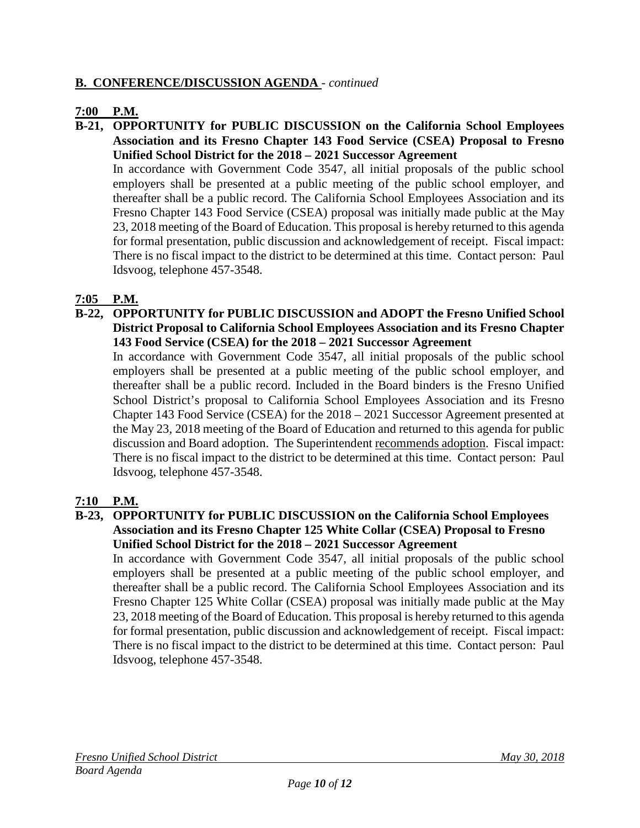## **B. CONFERENCE/DISCUSSION AGENDA** *- continued*

## **7:00 P.M.**

**B-21, OPPORTUNITY for PUBLIC DISCUSSION on the California School Employees Association and its Fresno Chapter 143 Food Service (CSEA) Proposal to Fresno Unified School District for the 2018 – 2021 Successor Agreement**

In accordance with Government Code 3547, all initial proposals of the public school employers shall be presented at a public meeting of the public school employer, and thereafter shall be a public record. The California School Employees Association and its Fresno Chapter 143 Food Service (CSEA) proposal was initially made public at the May 23, 2018 meeting of the Board of Education. This proposal is hereby returned to this agenda for formal presentation, public discussion and acknowledgement of receipt. Fiscal impact: There is no fiscal impact to the district to be determined at this time. Contact person: Paul Idsvoog, telephone 457-3548.

## **7:05 P.M.**

**B-22, OPPORTUNITY for PUBLIC DISCUSSION and ADOPT the Fresno Unified School District Proposal to California School Employees Association and its Fresno Chapter 143 Food Service (CSEA) for the 2018 – 2021 Successor Agreement**

In accordance with Government Code 3547, all initial proposals of the public school employers shall be presented at a public meeting of the public school employer, and thereafter shall be a public record. Included in the Board binders is the Fresno Unified School District's proposal to California School Employees Association and its Fresno Chapter 143 Food Service (CSEA) for the 2018 – 2021 Successor Agreement presented at the May 23, 2018 meeting of the Board of Education and returned to this agenda for public discussion and Board adoption. The Superintendent recommends adoption. Fiscal impact: There is no fiscal impact to the district to be determined at this time. Contact person: Paul Idsvoog, telephone 457-3548.

## **7:10 P.M.**

#### **B-23, OPPORTUNITY for PUBLIC DISCUSSION on the California School Employees Association and its Fresno Chapter 125 White Collar (CSEA) Proposal to Fresno Unified School District for the 2018 – 2021 Successor Agreement**

In accordance with Government Code 3547, all initial proposals of the public school employers shall be presented at a public meeting of the public school employer, and thereafter shall be a public record. The California School Employees Association and its Fresno Chapter 125 White Collar (CSEA) proposal was initially made public at the May 23, 2018 meeting of the Board of Education. This proposal is hereby returned to this agenda for formal presentation, public discussion and acknowledgement of receipt. Fiscal impact: There is no fiscal impact to the district to be determined at this time. Contact person: Paul Idsvoog, telephone 457-3548.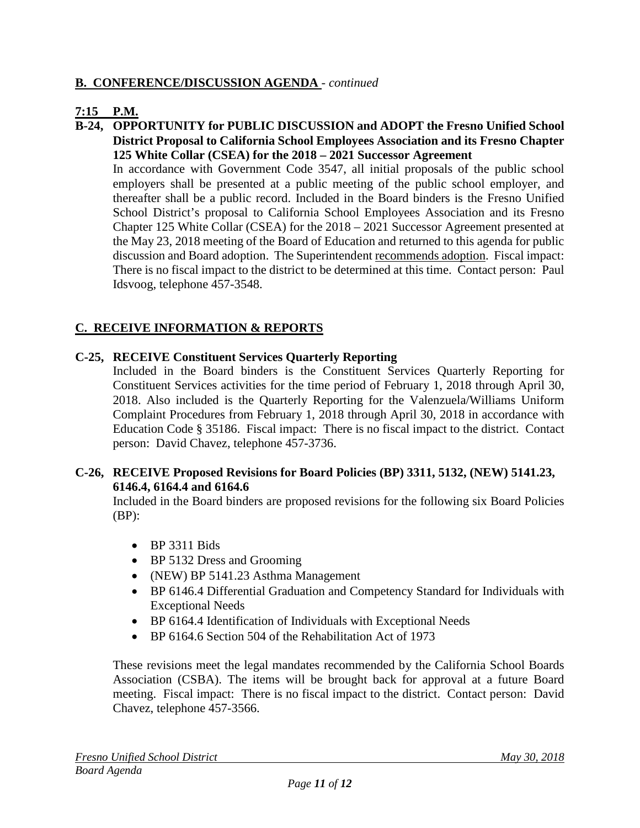## **B. CONFERENCE/DISCUSSION AGENDA** *- continued*

## **7:15 P.M.**

**B-24, OPPORTUNITY for PUBLIC DISCUSSION and ADOPT the Fresno Unified School District Proposal to California School Employees Association and its Fresno Chapter 125 White Collar (CSEA) for the 2018 – 2021 Successor Agreement**

In accordance with Government Code 3547, all initial proposals of the public school employers shall be presented at a public meeting of the public school employer, and thereafter shall be a public record. Included in the Board binders is the Fresno Unified School District's proposal to California School Employees Association and its Fresno Chapter 125 White Collar (CSEA) for the 2018 – 2021 Successor Agreement presented at the May 23, 2018 meeting of the Board of Education and returned to this agenda for public discussion and Board adoption. The Superintendent recommends adoption. Fiscal impact: There is no fiscal impact to the district to be determined at this time. Contact person: Paul Idsvoog, telephone 457-3548.

## **C. RECEIVE INFORMATION & REPORTS**

#### **C-25, RECEIVE Constituent Services Quarterly Reporting**

Included in the Board binders is the Constituent Services Quarterly Reporting for Constituent Services activities for the time period of February 1, 2018 through April 30, 2018. Also included is the Quarterly Reporting for the Valenzuela/Williams Uniform Complaint Procedures from February 1, 2018 through April 30, 2018 in accordance with Education Code § 35186. Fiscal impact: There is no fiscal impact to the district. Contact person: David Chavez, telephone 457-3736.

#### **C-26, RECEIVE Proposed Revisions for Board Policies (BP) 3311, 5132, (NEW) 5141.23, 6146.4, 6164.4 and 6164.6**

Included in the Board binders are proposed revisions for the following six Board Policies  $(BP)$ :

- BP 3311 Bids
- BP 5132 Dress and Grooming
- (NEW) BP 5141.23 Asthma Management
- BP 6146.4 Differential Graduation and Competency Standard for Individuals with Exceptional Needs
- BP 6164.4 Identification of Individuals with Exceptional Needs
- BP 6164.6 Section 504 of the Rehabilitation Act of 1973

These revisions meet the legal mandates recommended by the California School Boards Association (CSBA). The items will be brought back for approval at a future Board meeting. Fiscal impact: There is no fiscal impact to the district. Contact person: David Chavez, telephone 457-3566.